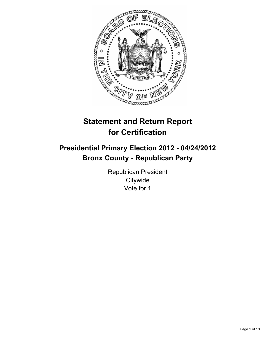

# **Statement and Return Report for Certification**

## **Presidential Primary Election 2012 - 04/24/2012 Bronx County - Republican Party**

Republican President **Citywide** Vote for 1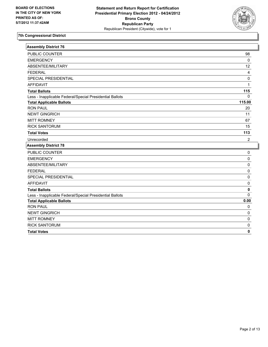

| <b>Assembly District 76</b>                              |                |
|----------------------------------------------------------|----------------|
| PUBLIC COUNTER                                           | 98             |
| <b>EMERGENCY</b>                                         | $\mathbf 0$    |
| ABSENTEE/MILITARY                                        | 12             |
| <b>FEDERAL</b>                                           | 4              |
| SPECIAL PRESIDENTIAL                                     | 0              |
| <b>AFFIDAVIT</b>                                         | 1              |
| <b>Total Ballots</b>                                     | 115            |
| Less - Inapplicable Federal/Special Presidential Ballots | 0              |
| <b>Total Applicable Ballots</b>                          | 115.00         |
| <b>RON PAUL</b>                                          | 20             |
| <b>NEWT GINGRICH</b>                                     | 11             |
| <b>MITT ROMNEY</b>                                       | 67             |
| <b>RICK SANTORUM</b>                                     | 15             |
| <b>Total Votes</b>                                       | 113            |
| Unrecorded                                               | $\overline{2}$ |
| <b>Assembly District 78</b>                              |                |
| PUBLIC COUNTER                                           | 0              |
| <b>EMERGENCY</b>                                         | 0              |
| ABSENTEE/MILITARY                                        | 0              |
| <b>FEDERAL</b>                                           | 0              |
| SPECIAL PRESIDENTIAL                                     | 0              |
| <b>AFFIDAVIT</b>                                         | 0              |
| <b>Total Ballots</b>                                     | 0              |
| Less - Inapplicable Federal/Special Presidential Ballots | $\Omega$       |
| <b>Total Applicable Ballots</b>                          | 0.00           |
| <b>RON PAUL</b>                                          | 0              |
| <b>NEWT GINGRICH</b>                                     | 0              |
| <b>MITT ROMNEY</b>                                       | 0              |
| <b>RICK SANTORUM</b>                                     | 0              |
| <b>Total Votes</b>                                       | 0              |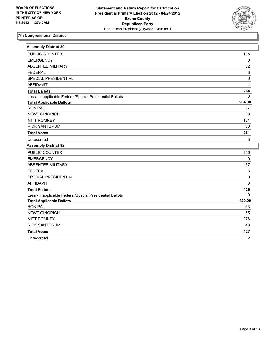

| <b>Assembly District 80</b>                              |          |
|----------------------------------------------------------|----------|
| PUBLIC COUNTER                                           | 195      |
| <b>EMERGENCY</b>                                         | $\Omega$ |
| ABSENTEE/MILITARY                                        | 62       |
| <b>FEDERAL</b>                                           | 3        |
| SPECIAL PRESIDENTIAL                                     | 0        |
| <b>AFFIDAVIT</b>                                         | 4        |
| <b>Total Ballots</b>                                     | 264      |
| Less - Inapplicable Federal/Special Presidential Ballots | $\Omega$ |
| <b>Total Applicable Ballots</b>                          | 264.00   |
| <b>RON PAUL</b>                                          | 37       |
| <b>NEWT GINGRICH</b>                                     | 33       |
| <b>MITT ROMNEY</b>                                       | 161      |
| <b>RICK SANTORUM</b>                                     | 30       |
| <b>Total Votes</b>                                       | 261      |
| Unrecorded                                               | 3        |
| <b>Assembly District 82</b>                              |          |
| <b>PUBLIC COUNTER</b>                                    | 356      |
| <b>EMERGENCY</b>                                         | 0        |
| ABSENTEE/MILITARY                                        | 67       |
| <b>FEDERAL</b>                                           | 3        |
| SPECIAL PRESIDENTIAL                                     | 0        |
| <b>AFFIDAVIT</b>                                         | 3        |
| <b>Total Ballots</b>                                     | 429      |
| Less - Inapplicable Federal/Special Presidential Ballots | $\Omega$ |
| <b>Total Applicable Ballots</b>                          | 429.00   |
| <b>RON PAUL</b>                                          | 53       |
| <b>NEWT GINGRICH</b>                                     | 55       |
| <b>MITT ROMNEY</b>                                       | 276      |
| <b>RICK SANTORUM</b>                                     | 43       |
| <b>Total Votes</b>                                       | 427      |
| Unrecorded                                               | 2        |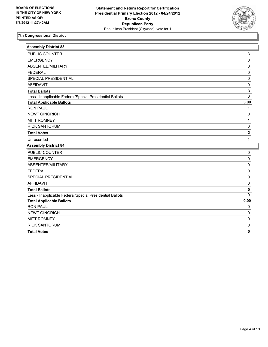

I

| <b>Assembly District 83</b>                              |                         |
|----------------------------------------------------------|-------------------------|
| PUBLIC COUNTER                                           | 3                       |
| <b>EMERGENCY</b>                                         | $\mathsf 0$             |
| ABSENTEE/MILITARY                                        | 0                       |
| <b>FFDFRAL</b>                                           | $\mathbf 0$             |
| SPECIAL PRESIDENTIAL                                     | 0                       |
| <b>AFFIDAVIT</b>                                         | $\pmb{0}$               |
| <b>Total Ballots</b>                                     | $\mathbf{3}$            |
| Less - Inapplicable Federal/Special Presidential Ballots | 0                       |
| <b>Total Applicable Ballots</b>                          | 3.00                    |
| <b>RON PAUL</b>                                          | 1                       |
| <b>NEWT GINGRICH</b>                                     | 0                       |
| <b>MITT ROMNEY</b>                                       | 1                       |
| <b>RICK SANTORUM</b>                                     | 0                       |
| <b>Total Votes</b>                                       | $\overline{\mathbf{2}}$ |
| Unrecorded                                               | 1                       |
| <b>Assembly District 84</b>                              |                         |
| PUBLIC COUNTER                                           | 0                       |
| <b>EMERGENCY</b>                                         | 0                       |
| ABSENTEE/MILITARY                                        | 0                       |
| <b>FEDERAL</b>                                           | 0                       |
| SPECIAL PRESIDENTIAL                                     | 0                       |
| <b>AFFIDAVIT</b>                                         | 0                       |
| <b>Total Ballots</b>                                     | 0                       |
| Less - Inapplicable Federal/Special Presidential Ballots | $\Omega$                |
| <b>Total Applicable Ballots</b>                          | 0.00                    |
| <b>RON PAUL</b>                                          | 0                       |
| <b>NEWT GINGRICH</b>                                     | $\pmb{0}$               |
| <b>MITT ROMNEY</b>                                       | 0                       |
| <b>RICK SANTORUM</b>                                     | 0                       |
| <b>Total Votes</b>                                       | 0                       |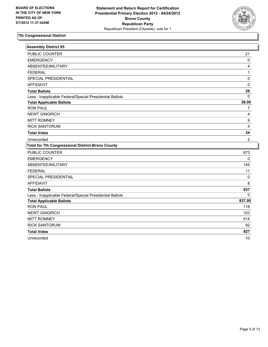

| <b>Assembly District 85</b>                              |                         |
|----------------------------------------------------------|-------------------------|
| PUBLIC COUNTER                                           | 21                      |
| <b>EMERGENCY</b>                                         | 0                       |
| ABSENTEE/MILITARY                                        | $\overline{\mathbf{4}}$ |
| <b>FEDERAL</b>                                           | $\mathbf{1}$            |
| SPECIAL PRESIDENTIAL                                     | 0                       |
| <b>AFFIDAVIT</b>                                         | 0                       |
| <b>Total Ballots</b>                                     | 26                      |
| Less - Inapplicable Federal/Special Presidential Ballots | 0                       |
| <b>Total Applicable Ballots</b>                          | 26.00                   |
| <b>RON PAUL</b>                                          | $\overline{7}$          |
| <b>NEWT GINGRICH</b>                                     | 4                       |
| <b>MITT ROMNEY</b>                                       | 9                       |
| <b>RICK SANTORUM</b>                                     | $\overline{4}$          |
| <b>Total Votes</b>                                       | 24                      |
| Unrecorded                                               | 2                       |
| <b>Total for 7th Congressional District-Bronx County</b> |                         |
| PUBLIC COUNTER                                           | 673                     |
| <b>EMERGENCY</b>                                         | 0                       |
| ABSENTEE/MILITARY                                        | 145                     |
| <b>FEDERAL</b>                                           | 11                      |
| SPECIAL PRESIDENTIAL                                     | 0                       |
| <b>AFFIDAVIT</b>                                         | 8                       |
| <b>Total Ballots</b>                                     | 837                     |
| Less - Inapplicable Federal/Special Presidential Ballots | $\Omega$                |
| <b>Total Applicable Ballots</b>                          | 837.00                  |
| <b>RON PAUL</b>                                          | 118                     |
| <b>NEWT GINGRICH</b>                                     | 103                     |
| <b>MITT ROMNEY</b>                                       | 514                     |
| <b>RICK SANTORUM</b>                                     | 92                      |
| <b>Total Votes</b>                                       | 827                     |
| Unrecorded                                               | 10                      |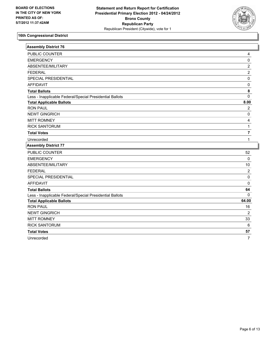

I

| <b>Assembly District 76</b>                              |                |
|----------------------------------------------------------|----------------|
| <b>PUBLIC COUNTER</b>                                    | 4              |
| <b>EMERGENCY</b>                                         | $\pmb{0}$      |
| ABSENTEE/MILITARY                                        | $\overline{c}$ |
| <b>FEDERAL</b>                                           | $\overline{2}$ |
| SPECIAL PRESIDENTIAL                                     | $\pmb{0}$      |
| <b>AFFIDAVIT</b>                                         | 0              |
| <b>Total Ballots</b>                                     | 8              |
| Less - Inapplicable Federal/Special Presidential Ballots | $\mathbf 0$    |
| <b>Total Applicable Ballots</b>                          | 8.00           |
| <b>RON PAUL</b>                                          | $\overline{2}$ |
| <b>NEWT GINGRICH</b>                                     | $\mathbf 0$    |
| <b>MITT ROMNEY</b>                                       | 4              |
| <b>RICK SANTORUM</b>                                     | 1              |
| <b>Total Votes</b>                                       | $\overline{7}$ |
| Unrecorded                                               | $\mathbf 1$    |
| <b>Assembly District 77</b>                              |                |
| PUBLIC COUNTER                                           | 52             |
| <b>EMERGENCY</b>                                         | $\pmb{0}$      |
| ABSENTEE/MILITARY                                        | 10             |
| <b>FEDERAL</b>                                           | $\overline{2}$ |
| SPECIAL PRESIDENTIAL                                     | $\pmb{0}$      |
| <b>AFFIDAVIT</b>                                         | $\mathbf 0$    |
| <b>Total Ballots</b>                                     | 64             |
| Less - Inapplicable Federal/Special Presidential Ballots | $\mathbf{0}$   |
| <b>Total Applicable Ballots</b>                          | 64.00          |
| <b>RON PAUL</b>                                          | 16             |
| <b>NEWT GINGRICH</b>                                     | 2              |
| <b>MITT ROMNEY</b>                                       | 33             |
| <b>RICK SANTORUM</b>                                     | 6              |
| <b>Total Votes</b>                                       | 57             |
| Unrecorded                                               | $\overline{7}$ |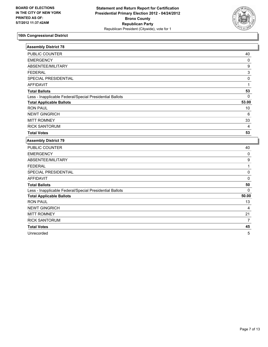

| Assembly District 78                                     |                  |
|----------------------------------------------------------|------------------|
| PUBLIC COUNTER                                           | 40               |
| <b>EMERGENCY</b>                                         | 0                |
| ABSENTEE/MILITARY                                        | 9                |
| <b>FEDERAL</b>                                           | 3                |
| SPECIAL PRESIDENTIAL                                     | $\mathsf 0$      |
| <b>AFFIDAVIT</b>                                         | 1                |
| <b>Total Ballots</b>                                     | 53               |
| Less - Inapplicable Federal/Special Presidential Ballots | $\Omega$         |
| <b>Total Applicable Ballots</b>                          | 53.00            |
| <b>RON PAUL</b>                                          | 10               |
| <b>NEWT GINGRICH</b>                                     | $\,6\,$          |
| <b>MITT ROMNEY</b>                                       | 33               |
| <b>RICK SANTORUM</b>                                     | $\overline{4}$   |
| <b>Total Votes</b>                                       | 53               |
| <b>Assembly District 79</b>                              |                  |
| PUBLIC COUNTER                                           | 40               |
| <b>EMERGENCY</b>                                         | 0                |
| ABSENTEE/MILITARY                                        | $\boldsymbol{9}$ |
| <b>FEDERAL</b>                                           | $\mathbf 1$      |
| SPECIAL PRESIDENTIAL                                     | $\mathbf 0$      |
| <b>AFFIDAVIT</b>                                         | $\mathbf 0$      |
| <b>Total Ballots</b>                                     | 50               |
| Less - Inapplicable Federal/Special Presidential Ballots | $\Omega$         |
| <b>Total Applicable Ballots</b>                          | 50.00            |
| <b>RON PAUL</b>                                          | 13               |
| <b>NEWT GINGRICH</b>                                     | 4                |
| <b>MITT ROMNEY</b>                                       | 21               |
| <b>RICK SANTORUM</b>                                     | $\overline{7}$   |
| <b>Total Votes</b>                                       | 45               |
|                                                          |                  |

Unrecorded 5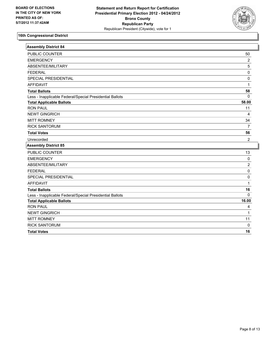

| <b>Assembly District 84</b>                              |                |
|----------------------------------------------------------|----------------|
| <b>PUBLIC COUNTER</b>                                    | 50             |
| <b>EMERGENCY</b>                                         | $\overline{2}$ |
| ABSENTEE/MILITARY                                        | $\overline{5}$ |
| <b>FEDERAL</b>                                           | $\pmb{0}$      |
| SPECIAL PRESIDENTIAL                                     | $\mathsf 0$    |
| <b>AFFIDAVIT</b>                                         | $\mathbf{1}$   |
| <b>Total Ballots</b>                                     | 58             |
| Less - Inapplicable Federal/Special Presidential Ballots | $\mathbf 0$    |
| <b>Total Applicable Ballots</b>                          | 58.00          |
| <b>RON PAUL</b>                                          | 11             |
| <b>NEWT GINGRICH</b>                                     | 4              |
| <b>MITT ROMNEY</b>                                       | 34             |
| <b>RICK SANTORUM</b>                                     | $\overline{7}$ |
| <b>Total Votes</b>                                       | 56             |
| Unrecorded                                               | $\overline{2}$ |
| <b>Assembly District 85</b>                              |                |
| PUBLIC COUNTER                                           | 13             |
| <b>EMERGENCY</b>                                         | $\mathsf 0$    |
| ABSENTEE/MILITARY                                        | $\overline{2}$ |
| <b>FEDERAL</b>                                           | $\pmb{0}$      |
| SPECIAL PRESIDENTIAL                                     | $\pmb{0}$      |
| <b>AFFIDAVIT</b>                                         | 1              |
| <b>Total Ballots</b>                                     | 16             |
| Less - Inapplicable Federal/Special Presidential Ballots | $\mathbf 0$    |
| <b>Total Applicable Ballots</b>                          | 16.00          |
| <b>RON PAUL</b>                                          | 4              |
| <b>NEWT GINGRICH</b>                                     | 1              |
| <b>MITT ROMNEY</b>                                       | 11             |
| <b>RICK SANTORUM</b>                                     | $\mathbf 0$    |
| <b>Total Votes</b>                                       | 16             |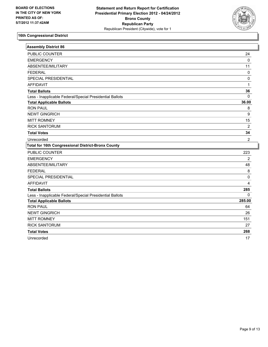

| <b>Assembly District 86</b>                               |                |
|-----------------------------------------------------------|----------------|
| PUBLIC COUNTER                                            | 24             |
| <b>EMERGENCY</b>                                          | 0              |
| ABSENTEE/MILITARY                                         | 11             |
| <b>FEDERAL</b>                                            | 0              |
| <b>SPECIAL PRESIDENTIAL</b>                               | 0              |
| <b>AFFIDAVIT</b>                                          | 1              |
| <b>Total Ballots</b>                                      | 36             |
| Less - Inapplicable Federal/Special Presidential Ballots  | $\mathbf{0}$   |
| <b>Total Applicable Ballots</b>                           | 36.00          |
| <b>RON PAUL</b>                                           | 8              |
| <b>NEWT GINGRICH</b>                                      | 9              |
| <b>MITT ROMNEY</b>                                        | 15             |
| <b>RICK SANTORUM</b>                                      | $\overline{2}$ |
| <b>Total Votes</b>                                        | 34             |
| Unrecorded                                                | $\overline{2}$ |
|                                                           |                |
| <b>Total for 16th Congressional District-Bronx County</b> |                |
| PUBLIC COUNTER                                            | 223            |
| <b>EMERGENCY</b>                                          | $\overline{2}$ |
| ABSENTEE/MILITARY                                         | 48             |
| <b>FEDERAL</b>                                            | 8              |
| SPECIAL PRESIDENTIAL                                      | 0              |
| <b>AFFIDAVIT</b>                                          | 4              |
| <b>Total Ballots</b>                                      | 285            |
| Less - Inapplicable Federal/Special Presidential Ballots  | 0              |
| <b>Total Applicable Ballots</b>                           | 285.00         |
| <b>RON PAUL</b>                                           | 64             |
| <b>NEWT GINGRICH</b>                                      | 26             |
| <b>MITT ROMNEY</b>                                        | 151            |
| <b>RICK SANTORUM</b>                                      | 27             |
| <b>Total Votes</b>                                        | 268            |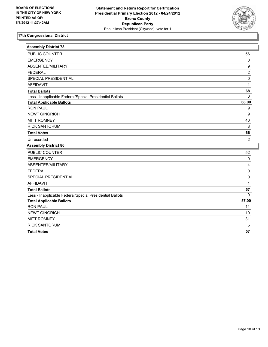

| <b>Assembly District 78</b>                              |                  |
|----------------------------------------------------------|------------------|
| PUBLIC COUNTER                                           | 56               |
| <b>EMERGENCY</b>                                         | $\pmb{0}$        |
| ABSENTEE/MILITARY                                        | $\boldsymbol{9}$ |
| <b>FEDERAL</b>                                           | $\overline{2}$   |
| SPECIAL PRESIDENTIAL                                     | 0                |
| <b>AFFIDAVIT</b>                                         | $\mathbf{1}$     |
| <b>Total Ballots</b>                                     | 68               |
| Less - Inapplicable Federal/Special Presidential Ballots | $\Omega$         |
| <b>Total Applicable Ballots</b>                          | 68.00            |
| <b>RON PAUL</b>                                          | 9                |
| <b>NEWT GINGRICH</b>                                     | $\boldsymbol{9}$ |
| <b>MITT ROMNEY</b>                                       | 40               |
| <b>RICK SANTORUM</b>                                     | 8                |
| <b>Total Votes</b>                                       | 66               |
| Unrecorded                                               | $\overline{2}$   |
| <b>Assembly District 80</b>                              |                  |
| PUBLIC COUNTER                                           | 52               |
| <b>EMERGENCY</b>                                         | $\mathbf 0$      |
| ABSENTEE/MILITARY                                        | 4                |
| <b>FEDERAL</b>                                           | $\mathbf 0$      |
| SPECIAL PRESIDENTIAL                                     | 0                |
| <b>AFFIDAVIT</b>                                         | $\mathbf{1}$     |
| <b>Total Ballots</b>                                     | 57               |
| Less - Inapplicable Federal/Special Presidential Ballots | 0                |
| <b>Total Applicable Ballots</b>                          | 57.00            |
| <b>RON PAUL</b>                                          | 11               |
| <b>NEWT GINGRICH</b>                                     | 10               |
| <b>MITT ROMNEY</b>                                       | 31               |
| <b>RICK SANTORUM</b>                                     | 5                |
| <b>Total Votes</b>                                       | 57               |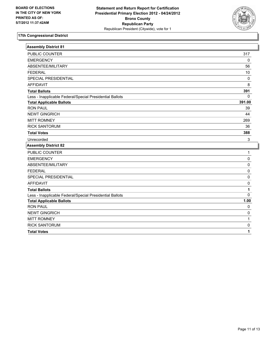

| <b>Assembly District 81</b>                              |             |
|----------------------------------------------------------|-------------|
| PUBLIC COUNTER                                           | 317         |
| <b>EMERGENCY</b>                                         | $\mathbf 0$ |
| ABSENTEE/MILITARY                                        | 56          |
| <b>FEDERAL</b>                                           | 10          |
| SPECIAL PRESIDENTIAL                                     | 0           |
| <b>AFFIDAVIT</b>                                         | 8           |
| <b>Total Ballots</b>                                     | 391         |
| Less - Inapplicable Federal/Special Presidential Ballots | $\mathbf 0$ |
| <b>Total Applicable Ballots</b>                          | 391.00      |
| <b>RON PAUL</b>                                          | 39          |
| <b>NEWT GINGRICH</b>                                     | 44          |
| <b>MITT ROMNEY</b>                                       | 269         |
| <b>RICK SANTORUM</b>                                     | 36          |
| <b>Total Votes</b>                                       | 388         |
| Unrecorded                                               | 3           |
| <b>Assembly District 82</b>                              |             |
| PUBLIC COUNTER                                           | 1           |
| <b>EMERGENCY</b>                                         | 0           |
| ABSENTEE/MILITARY                                        | 0           |
| <b>FEDERAL</b>                                           | $\pmb{0}$   |
| SPECIAL PRESIDENTIAL                                     | 0           |
| <b>AFFIDAVIT</b>                                         | 0           |
| <b>Total Ballots</b>                                     | 1           |
| Less - Inapplicable Federal/Special Presidential Ballots | $\Omega$    |
| <b>Total Applicable Ballots</b>                          | 1.00        |
| <b>RON PAUL</b>                                          | 0           |
| <b>NEWT GINGRICH</b>                                     | 0           |
| <b>MITT ROMNEY</b>                                       | 1           |
| <b>RICK SANTORUM</b>                                     | $\pmb{0}$   |
| <b>Total Votes</b>                                       | 1           |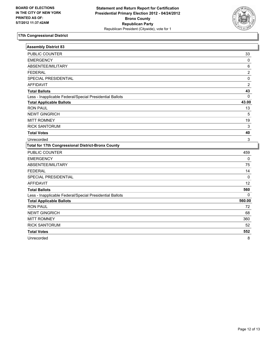

| <b>Assembly District 83</b>                               |                |
|-----------------------------------------------------------|----------------|
| PUBLIC COUNTER                                            | 33             |
| <b>EMERGENCY</b>                                          | $\mathbf 0$    |
| ABSENTEE/MILITARY                                         | $\,6\,$        |
| <b>FEDERAL</b>                                            | $\overline{2}$ |
| SPECIAL PRESIDENTIAL                                      | $\pmb{0}$      |
| <b>AFFIDAVIT</b>                                          | $\overline{2}$ |
| <b>Total Ballots</b>                                      | 43             |
| Less - Inapplicable Federal/Special Presidential Ballots  | $\mathbf{0}$   |
| <b>Total Applicable Ballots</b>                           | 43.00          |
| <b>RON PAUL</b>                                           | 13             |
| <b>NEWT GINGRICH</b>                                      | 5              |
| <b>MITT ROMNEY</b>                                        | 19             |
| <b>RICK SANTORUM</b>                                      | $\sqrt{3}$     |
| <b>Total Votes</b>                                        | 40             |
| Unrecorded                                                | 3              |
|                                                           |                |
| <b>Total for 17th Congressional District-Bronx County</b> |                |
| PUBLIC COUNTER                                            | 459            |
| <b>EMERGENCY</b>                                          | $\pmb{0}$      |
| ABSENTEE/MILITARY                                         | 75             |
| <b>FEDERAL</b>                                            | 14             |
| SPECIAL PRESIDENTIAL                                      | $\mathbf 0$    |
| <b>AFFIDAVIT</b>                                          | 12             |
| <b>Total Ballots</b>                                      | 560            |
| Less - Inapplicable Federal/Special Presidential Ballots  | $\Omega$       |
| <b>Total Applicable Ballots</b>                           | 560.00         |
| <b>RON PAUL</b>                                           | 72             |
| <b>NEWT GINGRICH</b>                                      | 68             |
| <b>MITT ROMNEY</b>                                        | 360            |
| <b>RICK SANTORUM</b>                                      | 52             |
| <b>Total Votes</b>                                        | 552            |